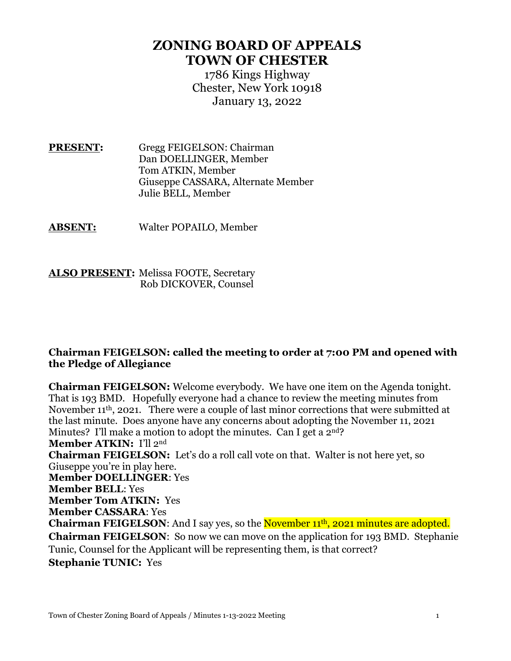## **ZONING BOARD OF APPEALS TOWN OF CHESTER**

1786 Kings Highway Chester, New York 10918 January 13, 2022

**PRESENT:** Gregg FEIGELSON: Chairman Dan DOELLINGER, Member Tom ATKIN, Member Giuseppe CASSARA, Alternate Member Julie BELL, Member

**ABSENT:** Walter POPAILO, Member

**ALSO PRESENT:** Melissa FOOTE, Secretary Rob DICKOVER, Counsel

## **Chairman FEIGELSON: called the meeting to order at 7:00 PM and opened with the Pledge of Allegiance**

**Chairman FEIGELSON:** Welcome everybody. We have one item on the Agenda tonight. That is 193 BMD. Hopefully everyone had a chance to review the meeting minutes from November 11th, 2021. There were a couple of last minor corrections that were submitted at the last minute. Does anyone have any concerns about adopting the November 11, 2021 Minutes? I'll make a motion to adopt the minutes. Can I get a 2<sup>nd</sup>? **Member ATKIN:** I'll 2nd **Chairman FEIGELSON:** Let's do a roll call vote on that. Walter is not here yet, so Giuseppe you're in play here. **Member DOELLINGER**: Yes **Member BELL**: Yes **Member Tom ATKIN:** Yes **Member CASSARA**: Yes **Chairman FEIGELSON:** And I say yes, so the **November 11<sup>th</sup>**, 2021 minutes are adopted. **Chairman FEIGELSON**: So now we can move on the application for 193 BMD. Stephanie Tunic, Counsel for the Applicant will be representing them, is that correct? **Stephanie TUNIC:** Yes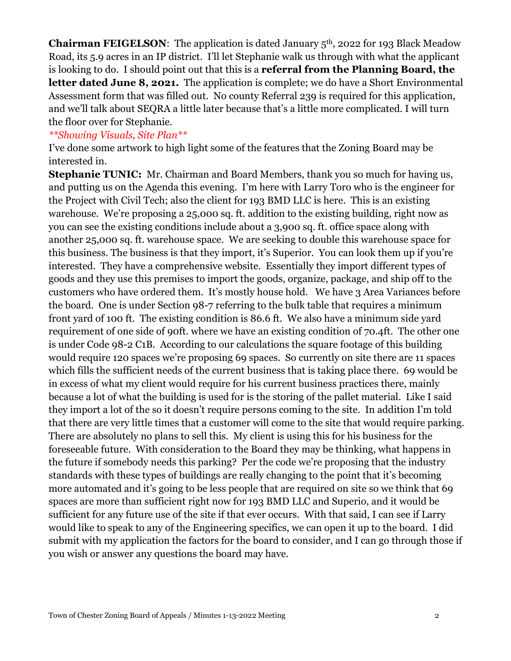**Chairman FEIGELSON:** The application is dated January 5<sup>th</sup>, 2022 for 193 Black Meadow Road, its 5.9 acres in an IP district. I'll let Stephanie walk us through with what the applicant is looking to do. I should point out that this is a **referral from the Planning Board, the**  letter dated June 8, 2021. The application is complete; we do have a Short Environmental Assessment form that was filled out. No county Referral 239 is required for this application, and we'll talk about SEQRA a little later because that's a little more complicated. I will turn the floor over for Stephanie.

## *\*\*Showing Visuals, Site Plan\*\**

I've done some artwork to high light some of the features that the Zoning Board may be interested in.

**Stephanie TUNIC:** Mr. Chairman and Board Members, thank you so much for having us, and putting us on the Agenda this evening. I'm here with Larry Toro who is the engineer for the Project with Civil Tech; also the client for 193 BMD LLC is here. This is an existing warehouse. We're proposing a 25,000 sq. ft. addition to the existing building, right now as you can see the existing conditions include about a 3,900 sq. ft. office space along with another 25,000 sq. ft. warehouse space. We are seeking to double this warehouse space for this business. The business is that they import, it's Superior. You can look them up if you're interested. They have a comprehensive website. Essentially they import different types of goods and they use this premises to import the goods, organize, package, and ship off to the customers who have ordered them. It's mostly house hold. We have 3 Area Variances before the board. One is under Section 98-7 referring to the bulk table that requires a minimum front yard of 100 ft. The existing condition is 86.6 ft. We also have a minimum side yard requirement of one side of 90ft. where we have an existing condition of 70.4ft. The other one is under Code 98-2 C1B. According to our calculations the square footage of this building would require 120 spaces we're proposing 69 spaces. So currently on site there are 11 spaces which fills the sufficient needs of the current business that is taking place there. 69 would be in excess of what my client would require for his current business practices there, mainly because a lot of what the building is used for is the storing of the pallet material. Like I said they import a lot of the so it doesn't require persons coming to the site. In addition I'm told that there are very little times that a customer will come to the site that would require parking. There are absolutely no plans to sell this. My client is using this for his business for the foreseeable future. With consideration to the Board they may be thinking, what happens in the future if somebody needs this parking? Per the code we're proposing that the industry standards with these types of buildings are really changing to the point that it's becoming more automated and it's going to be less people that are required on site so we think that 69 spaces are more than sufficient right now for 193 BMD LLC and Superio, and it would be sufficient for any future use of the site if that ever occurs. With that said, I can see if Larry would like to speak to any of the Engineering specifics, we can open it up to the board. I did submit with my application the factors for the board to consider, and I can go through those if you wish or answer any questions the board may have.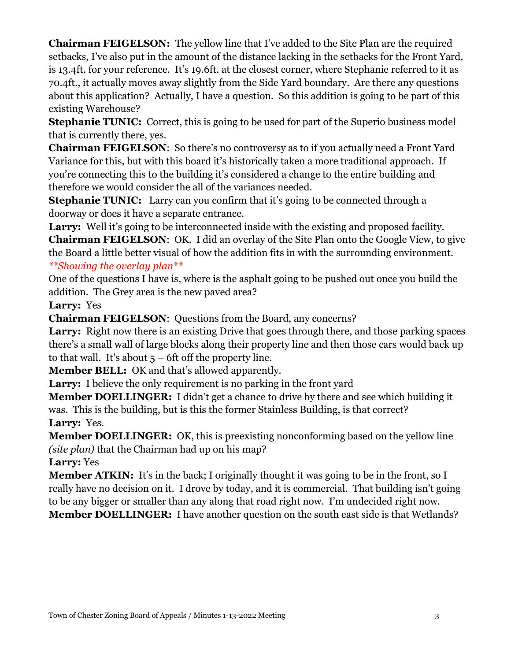**Chairman FEIGELSON:** The yellow line that I've added to the Site Plan are the required setbacks, I've also put in the amount of the distance lacking in the setbacks for the Front Yard, is 13.4ft. for your reference. It's 19.6ft. at the closest corner, where Stephanie referred to it as 70.4ft., it actually moves away slightly from the Side Yard boundary. Are there any questions about this application? Actually, I have a question. So this addition is going to be part of this existing Warehouse?

**Stephanie TUNIC:** Correct, this is going to be used for part of the Superio business model that is currently there, yes.

**Chairman FEIGELSON**: So there's no controversy as to if you actually need a Front Yard Variance for this, but with this board it's historically taken a more traditional approach. If you're connecting this to the building it's considered a change to the entire building and therefore we would consider the all of the variances needed.

**Stephanie TUNIC:** Larry can you confirm that it's going to be connected through a doorway or does it have a separate entrance.

Larry: Well it's going to be interconnected inside with the existing and proposed facility. **Chairman FEIGELSON**: OK. I did an overlay of the Site Plan onto the Google View, to give the Board a little better visual of how the addition fits in with the surrounding environment. *\*\*Showing the overlay plan\*\**

One of the questions I have is, where is the asphalt going to be pushed out once you build the addition. The Grey area is the new paved area?

**Larry:** Yes

**Chairman FEIGELSON**: Questions from the Board, any concerns?

Larry: Right now there is an existing Drive that goes through there, and those parking spaces there's a small wall of large blocks along their property line and then those cars would back up to that wall. It's about  $5 - 6$ ft off the property line.

**Member BELL:** OK and that's allowed apparently.

Larry: I believe the only requirement is no parking in the front vard

**Member DOELLINGER:** I didn't get a chance to drive by there and see which building it was. This is the building, but is this the former Stainless Building, is that correct? **Larry:** Yes.

**Member DOELLINGER:** OK, this is preexisting nonconforming based on the yellow line *(site plan)* that the Chairman had up on his map?

**Larry:** Yes

**Member ATKIN:** It's in the back; I originally thought it was going to be in the front, so I really have no decision on it. I drove by today, and it is commercial. That building isn't going to be any bigger or smaller than any along that road right now. I'm undecided right now. **Member DOELLINGER:** I have another question on the south east side is that Wetlands?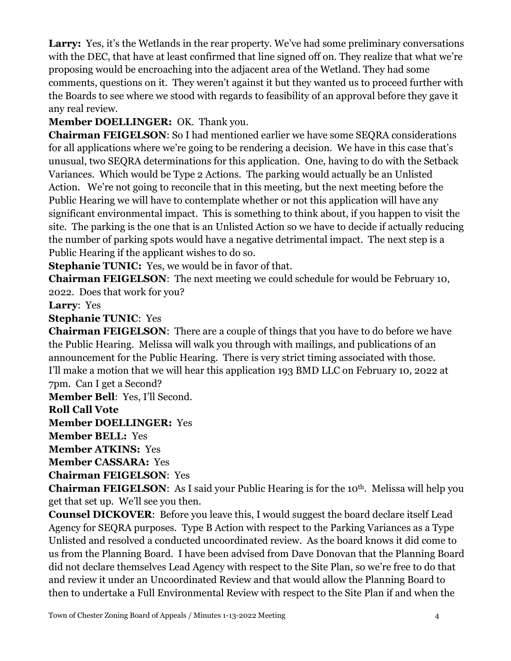Larry: Yes, it's the Wetlands in the rear property. We've had some preliminary conversations with the DEC, that have at least confirmed that line signed off on. They realize that what we're proposing would be encroaching into the adjacent area of the Wetland. They had some comments, questions on it. They weren't against it but they wanted us to proceed further with the Boards to see where we stood with regards to feasibility of an approval before they gave it any real review.

**Member DOELLINGER:** OK. Thank you.

**Chairman FEIGELSON**: So I had mentioned earlier we have some SEQRA considerations for all applications where we're going to be rendering a decision. We have in this case that's unusual, two SEQRA determinations for this application. One, having to do with the Setback Variances. Which would be Type 2 Actions. The parking would actually be an Unlisted Action. We're not going to reconcile that in this meeting, but the next meeting before the Public Hearing we will have to contemplate whether or not this application will have any significant environmental impact. This is something to think about, if you happen to visit the site. The parking is the one that is an Unlisted Action so we have to decide if actually reducing the number of parking spots would have a negative detrimental impact. The next step is a Public Hearing if the applicant wishes to do so.

**Stephanie TUNIC:** Yes, we would be in favor of that.

**Chairman FEIGELSON**: The next meeting we could schedule for would be February 10, 2022. Does that work for you?

**Larry**: Yes

**Stephanie TUNIC**: Yes

**Chairman FEIGELSON**: There are a couple of things that you have to do before we have the Public Hearing. Melissa will walk you through with mailings, and publications of an announcement for the Public Hearing. There is very strict timing associated with those. I'll make a motion that we will hear this application 193 BMD LLC on February 10, 2022 at 7pm. Can I get a Second?

**Member Bell**: Yes, I'll Second.

**Roll Call Vote**

**Member DOELLINGER:** Yes

**Member BELL:** Yes

**Member ATKINS:** Yes

**Member CASSARA:** Yes

**Chairman FEIGELSON**: Yes

**Chairman FEIGELSON:** As I said your Public Hearing is for the 10<sup>th</sup>. Melissa will help you get that set up. We'll see you then.

**Counsel DICKOVER**: Before you leave this, I would suggest the board declare itself Lead Agency for SEQRA purposes. Type B Action with respect to the Parking Variances as a Type Unlisted and resolved a conducted uncoordinated review. As the board knows it did come to us from the Planning Board. I have been advised from Dave Donovan that the Planning Board did not declare themselves Lead Agency with respect to the Site Plan, so we're free to do that and review it under an Uncoordinated Review and that would allow the Planning Board to then to undertake a Full Environmental Review with respect to the Site Plan if and when the